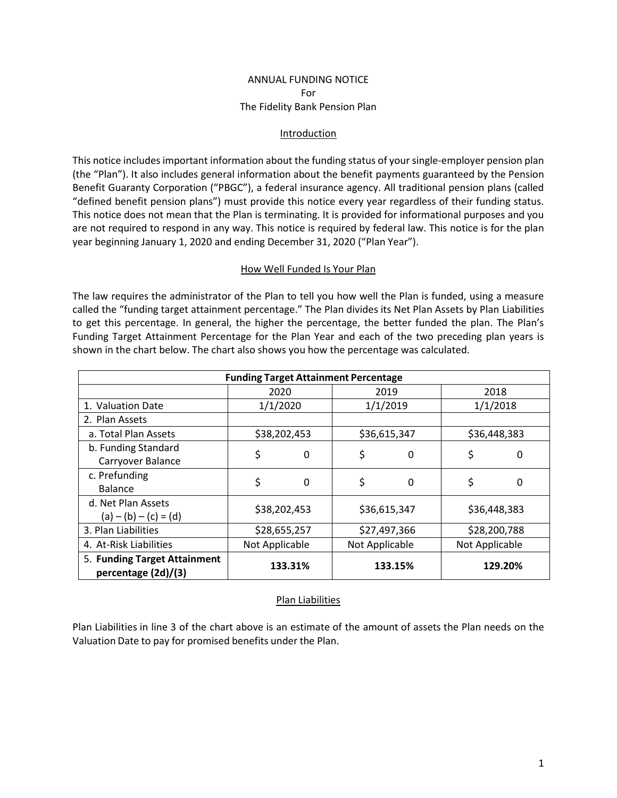## ANNUAL FUNDING NOTICE For The Fidelity Bank Pension Plan

#### Introduction

This notice includes important information about the funding status of your single-employer pension plan (the "Plan"). It also includes general information about the benefit payments guaranteed by the Pension Benefit Guaranty Corporation ("PBGC"), a federal insurance agency. All traditional pension plans (called "defined benefit pension plans") must provide this notice every year regardless of their funding status. This notice does not mean that the Plan is terminating. It is provided for informational purposes and you are not required to respond in any way. This notice is required by federal law. This notice is for the plan year beginning January 1, 2020 and ending December 31, 2020 ("Plan Year").

#### How Well Funded Is Your Plan

The law requires the administrator of the Plan to tell you how well the Plan is funded, using a measure called the "funding target attainment percentage." The Plan divides its Net Plan Assets by Plan Liabilities to get this percentage. In general, the higher the percentage, the better funded the plan. The Plan's Funding Target Attainment Percentage for the Plan Year and each of the two preceding plan years is shown in the chart below. The chart also shows you how the percentage was calculated.

| <b>Funding Target Attainment Percentage</b>         |                |             |                |          |                |         |  |  |
|-----------------------------------------------------|----------------|-------------|----------------|----------|----------------|---------|--|--|
|                                                     | 2020           |             | 2019           |          | 2018           |         |  |  |
| 1. Valuation Date                                   | 1/1/2020       |             | 1/1/2019       |          | 1/1/2018       |         |  |  |
| 2. Plan Assets                                      |                |             |                |          |                |         |  |  |
| a. Total Plan Assets                                | \$38,202,453   |             | \$36,615,347   |          | \$36,448,383   |         |  |  |
| b. Funding Standard<br>Carryover Balance            | \$             | $\mathbf 0$ | \$             | $\Omega$ | \$             | 0       |  |  |
| c. Prefunding<br><b>Balance</b>                     | \$             | 0           | \$             | $\Omega$ | \$             | 0       |  |  |
| d. Net Plan Assets<br>$(a) - (b) - (c) = (d)$       | \$38,202,453   |             | \$36,615,347   |          | \$36,448,383   |         |  |  |
| 3. Plan Liabilities                                 | \$28,655,257   |             | \$27,497,366   |          | \$28,200,788   |         |  |  |
| 4. At-Risk Liabilities                              | Not Applicable |             | Not Applicable |          | Not Applicable |         |  |  |
| 5. Funding Target Attainment<br>percentage (2d)/(3) |                | 133.31%     |                | 133.15%  |                | 129.20% |  |  |

## Plan Liabilities

Plan Liabilities in line 3 of the chart above is an estimate of the amount of assets the Plan needs on the Valuation Date to pay for promised benefits under the Plan.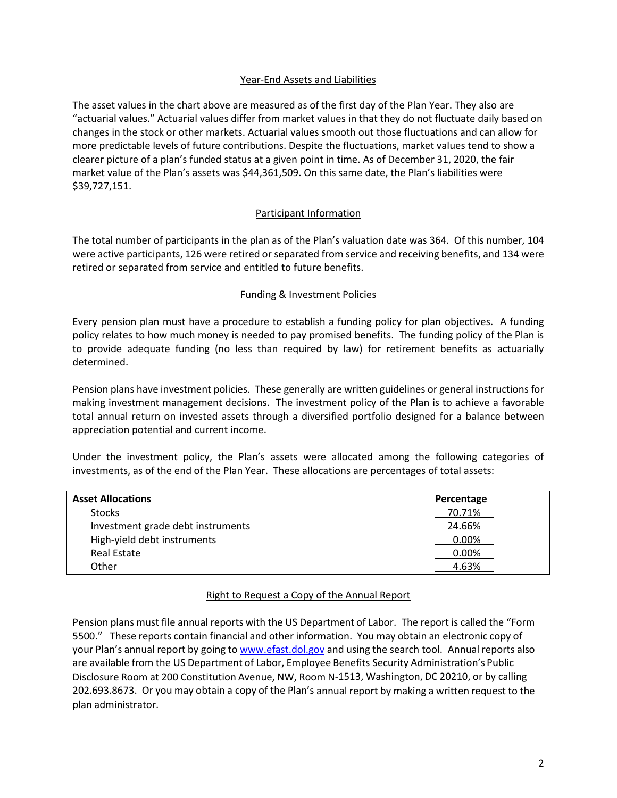## Year-End Assets and Liabilities

The asset values in the chart above are measured as of the first day of the Plan Year. They also are "actuarial values." Actuarial values differ from market values in that they do not fluctuate daily based on changes in the stock or other markets. Actuarial values smooth out those fluctuations and can allow for more predictable levels of future contributions. Despite the fluctuations, market values tend to show a clearer picture of a plan's funded status at a given point in time. As of December 31, 2020, the fair market value of the Plan's assets was \$44,361,509. On this same date, the Plan's liabilities were \$39,727,151.

## Participant Information

The total number of participants in the plan as of the Plan's valuation date was 364. Of this number, 104 were active participants, 126 were retired or separated from service and receiving benefits, and 134 were retired or separated from service and entitled to future benefits.

## Funding & Investment Policies

Every pension plan must have a procedure to establish a funding policy for plan objectives. A funding policy relates to how much money is needed to pay promised benefits. The funding policy of the Plan is to provide adequate funding (no less than required by law) for retirement benefits as actuarially determined.

Pension plans have investment policies. These generally are written guidelines or general instructions for making investment management decisions. The investment policy of the Plan is to achieve a favorable total annual return on invested assets through a diversified portfolio designed for a balance between appreciation potential and current income.

Under the investment policy, the Plan's assets were allocated among the following categories of investments, as of the end of the Plan Year. These allocations are percentages of total assets:

| <b>Asset Allocations</b>          | Percentage |  |  |
|-----------------------------------|------------|--|--|
| <b>Stocks</b>                     | 70.71%     |  |  |
| Investment grade debt instruments | 24.66%     |  |  |
| High-yield debt instruments       | 0.00%      |  |  |
| Real Estate                       | 0.00%      |  |  |
| Other                             | 4.63%      |  |  |

## Right to Request a Copy of the Annual Report

Pension plans must file annual reports with the US Department of Labor. The report is called the "Form 5500." These reports contain financial and other information. You may obtain an electronic copy of your Plan's annual report by going to [www.efast.dol.gov](http://www.efast.dol.gov/) and using the search tool. Annual reports also are available from the US Department of Labor, Employee Benefits Security Administration's Public Disclosure Room at 200 Constitution Avenue, NW, Room N-1513, Washington, DC 20210, or by calling 202.693.8673. Or you may obtain a copy of the Plan's annual report by making a written request to the plan administrator.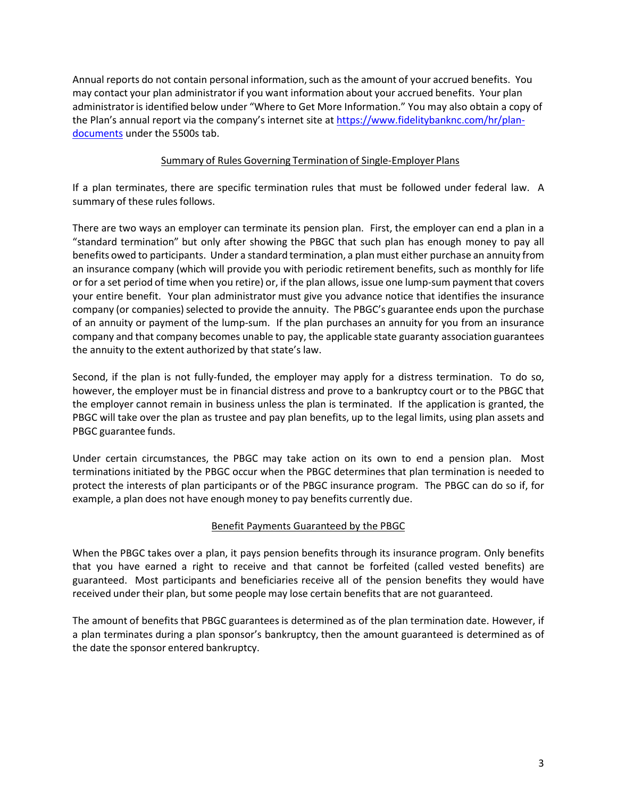Annual reports do not contain personal information, such as the amount of your accrued benefits. You may contact your plan administratorif you want information about your accrued benefits. Your plan administrator is identified below under "Where to Get More Information." You may also obtain a copy of the Plan's annual report via the company's internet site at [https://www.fidelitybanknc.com/hr/plan](https://www.fidelitybanknc.com/hr/plan-documents)[documents](https://www.fidelitybanknc.com/hr/plan-documents) under the 5500s tab.

## Summary of Rules Governing Termination of Single-Employer Plans

If a plan terminates, there are specific termination rules that must be followed under federal law. A summary of these rules follows.

There are two ways an employer can terminate its pension plan. First, the employer can end a plan in a "standard termination" but only after showing the PBGC that such plan has enough money to pay all benefits owed to participants. Under a standard termination, a plan must either purchase an annuity from an insurance company (which will provide you with periodic retirement benefits, such as monthly for life or for a set period of time when you retire) or, if the plan allows, issue one lump-sum payment that covers your entire benefit. Your plan administrator must give you advance notice that identifies the insurance company (or companies) selected to provide the annuity. The PBGC's guarantee ends upon the purchase of an annuity or payment of the lump-sum. If the plan purchases an annuity for you from an insurance company and that company becomes unable to pay, the applicable state guaranty association guarantees the annuity to the extent authorized by that state's law.

Second, if the plan is not fully-funded, the employer may apply for a distress termination. To do so, however, the employer must be in financial distress and prove to a bankruptcy court or to the PBGC that the employer cannot remain in business unless the plan is terminated. If the application is granted, the PBGC will take over the plan as trustee and pay plan benefits, up to the legal limits, using plan assets and PBGC guarantee funds.

Under certain circumstances, the PBGC may take action on its own to end a pension plan. Most terminations initiated by the PBGC occur when the PBGC determines that plan termination is needed to protect the interests of plan participants or of the PBGC insurance program. The PBGC can do so if, for example, a plan does not have enough money to pay benefits currently due.

# Benefit Payments Guaranteed by the PBGC

When the PBGC takes over a plan, it pays pension benefits through its insurance program. Only benefits that you have earned a right to receive and that cannot be forfeited (called vested benefits) are guaranteed. Most participants and beneficiaries receive all of the pension benefits they would have received under their plan, but some people may lose certain benefits that are not guaranteed.

The amount of benefits that PBGC guarantees is determined as of the plan termination date. However, if a plan terminates during a plan sponsor's bankruptcy, then the amount guaranteed is determined as of the date the sponsor entered bankruptcy.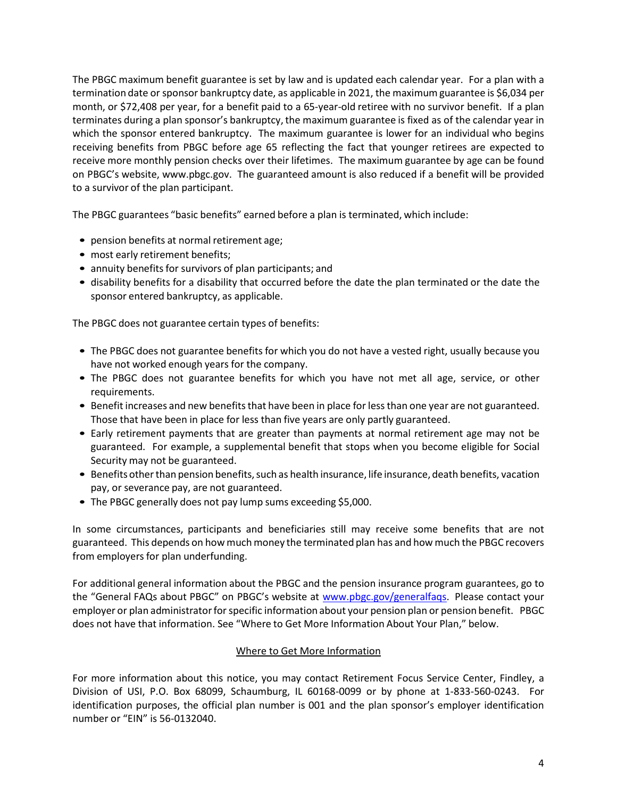The PBGC maximum benefit guarantee is set by law and is updated each calendar year. For a plan with a termination date orsponsor bankruptcy date, as applicable in 2021, the maximumguarantee is \$6,034 per month, or \$72,408 per year, for a benefit paid to a 65-year-old retiree with no survivor benefit. If a plan terminates during a plan sponsor's bankruptcy, the maximum guarantee is fixed as of the calendar year in which the sponsor entered bankruptcy. The maximum guarantee is lower for an individual who begins receiving benefits from PBGC before age 65 reflecting the fact that younger retirees are expected to receive more monthly pension checks over their lifetimes. The maximum guarantee by age can be found on PBGC's website, [www.pbgc.gov.](http://www.pbgc.gov/) The guaranteed amount is also reduced if a benefit will be provided to a survivor of the plan participant.

The PBGC guarantees "basic benefits" earned before a plan is terminated, which include:

- pension benefits at normal retirement age;
- most early retirement benefits;
- annuity benefits for survivors of plan participants; and
- disability benefits for a disability that occurred before the date the plan terminated or the date the sponsor entered bankruptcy, as applicable.

The PBGC does not guarantee certain types of benefits:

- The PBGC does not guarantee benefits for which you do not have a vested right, usually because you have not worked enough years for the company.
- The PBGC does not guarantee benefits for which you have not met all age, service, or other requirements.
- Benefit increases and new benefits that have been in place for less than one year are not guaranteed. Those that have been in place for less than five years are only partly guaranteed.
- Early retirement payments that are greater than payments at normal retirement age may not be guaranteed. For example, a supplemental benefit that stops when you become eligible for Social Security may not be guaranteed.
- Benefits other than pension benefits, such as health insurance, life insurance, death benefits, vacation pay, or severance pay, are not guaranteed.
- The PBGC generally does not pay lump sums exceeding \$5,000.

In some circumstances, participants and beneficiaries still may receive some benefits that are not guaranteed. This depends on how much money the terminated plan has and how much the PBGC recovers from employers for plan underfunding.

For additional general information about the PBGC and the pension insurance program guarantees, go to the "General FAQs about PBGC" on PBGC's website at [www.pbgc.gov/generalfaqs.](http://www.pbgc.gov/generalfaqs) Please contact your employer or plan administrator for specific information about your pension plan or pension benefit. PBGC does not have that information. See "Where to Get More Information About Your Plan," below.

## Where to Get More Information

For more information about this notice, you may contact Retirement Focus Service Center, Findley, a Division of USI, P.O. Box 68099, Schaumburg, IL 60168-0099 or by phone at 1-833-560-0243. For identification purposes, the official plan number is 001 and the plan sponsor's employer identification number or "EIN" is 56-0132040.